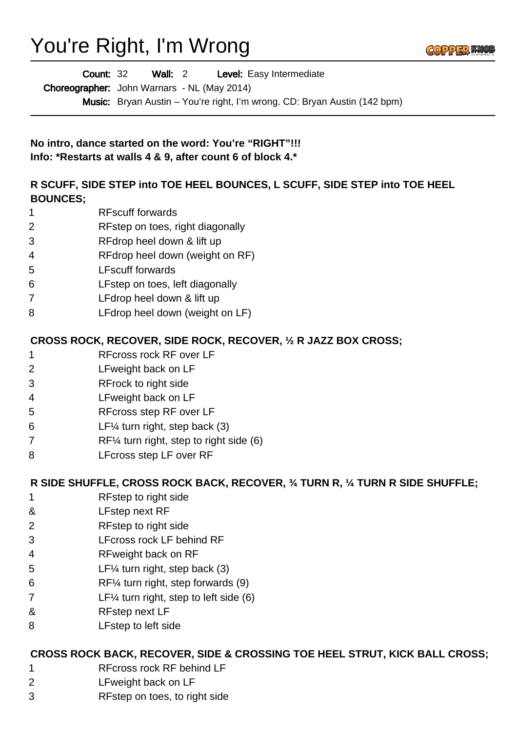# You're Right, I'm Wrong



Wall: 2 Level: Easy Intermediate Count: 32

Choreographer: John Warnars - NL (May 2014)

Music: Bryan Austin – You're right, I'm wrong. CD: Bryan Austin (142 bpm)

**No intro, dance started on the word: You're "RIGHT"!!! Info: \*Restarts at walls 4 & 9, after count 6 of block 4.\***

### **R SCUFF, SIDE STEP into TOE HEEL BOUNCES, L SCUFF, SIDE STEP into TOE HEEL BOUNCES;**

- RFscuff forwards
- RFstep on toes, right diagonally
- RFdrop heel down & lift up
- RFdrop heel down (weight on RF)
- LFscuff forwards
- LFstep on toes, left diagonally
- LFdrop heel down & lift up
- LFdrop heel down (weight on LF)

### **CROSS ROCK, RECOVER, SIDE ROCK, RECOVER, ½ R JAZZ BOX CROSS;**

- RFcross rock RF over LF
- LFweight back on LF
- RFrock to right side
- LFweight back on LF
- RFcross step RF over LF
- LF¼ turn right, step back (3)
- RF¼ turn right, step to right side (6)
- LFcross step LF over RF

### **R SIDE SHUFFLE, CROSS ROCK BACK, RECOVER, ¾ TURN R, ¼ TURN R SIDE SHUFFLE;**

- RFstep to right side
- & LFstep next RF
- RFstep to right side
- LFcross rock LF behind RF
- RFweight back on RF
- LF¼ turn right, step back (3)
- RF¼ turn right, step forwards (9)
- LF¼ turn right, step to left side (6)
- & RFstep next LF
- LFstep to left side

### **CROSS ROCK BACK, RECOVER, SIDE & CROSSING TOE HEEL STRUT, KICK BALL CROSS;**

- RFcross rock RF behind LF
- LFweight back on LF
- RFstep on toes, to right side